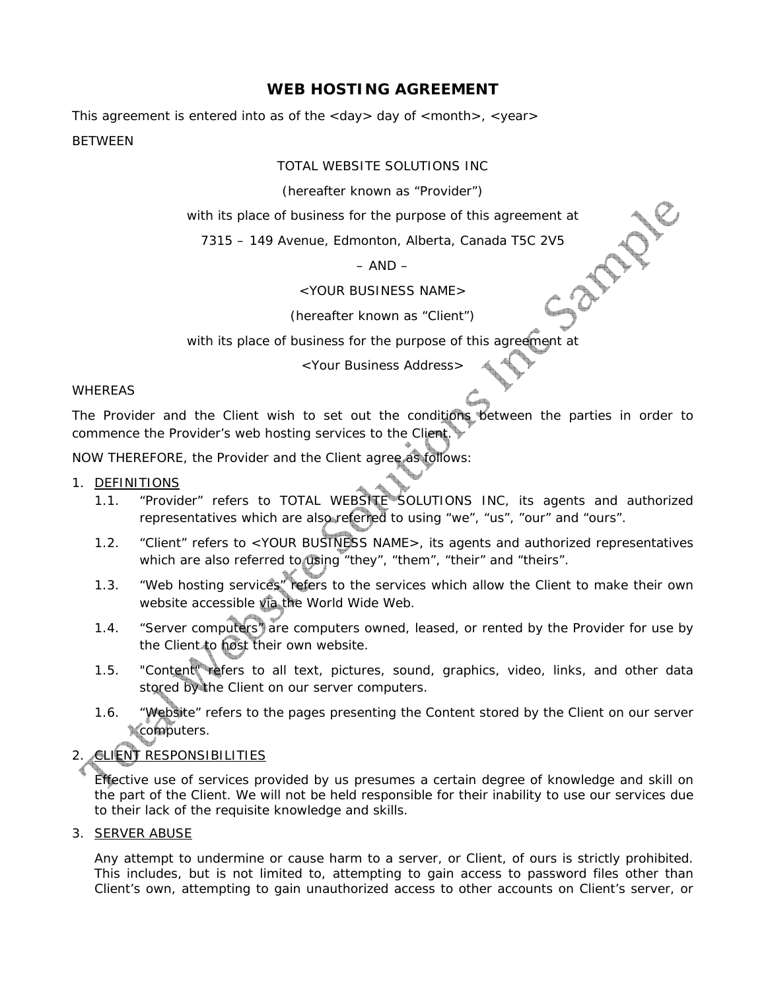# **WEB HOSTING AGREEMENT**

This agreement is entered into as of the <day> day of <month>, <year> BETWEEN

TOTAL WEBSITE SOLUTIONS INC

(hereafter known as "Provider")

with its place of business for the purpose of this agreement at<br>
7315 – 149 Avenue, Edmonton, Alberta, Canada T5C 2V5<br>
- AND –<br>
<YOUR BUSINESS NAME

7315 – 149 Avenue, Edmonton, Alberta, Canada T5C 2V5

#### $-$  AND  $-$

<YOUR BUSINESS NAME>

(hereafter known as "Client")

with its place of business for the purpose of this agreement at

<Your Business Address>

### WHEREAS

The Provider and the Client wish to set out the conditions between the parties in order to commence the Provider's web hosting services to the Client.

NOW THEREFORE, the Provider and the Client agree as follows:

### 1. DEFINITIONS

- 1.1. "Provider" refers to TOTAL WEBSITE SOLUTIONS INC, its agents and authorized representatives which are also referred to using "we", "us", "our" and "ours".
- 1.2. "Client" refers to <YOUR BUSINESS NAME>, its agents and authorized representatives which are also referred to using "they", "them", "their" and "theirs".
- 1.3. "Web hosting services" refers to the services which allow the Client to make their own website accessible via the World Wide Web.
- 1.4. "Server computers" are computers owned, leased, or rented by the Provider for use by the Client to host their own website.
- 1.5. "Content" refers to all text, pictures, sound, graphics, video, links, and other data stored by the Client on our server computers.
- 1.6. "Website" refers to the pages presenting the Content stored by the Client on our server computers.

# 2. **CLIENT RESPONSIBILITIES**

Effective use of services provided by us presumes a certain degree of knowledge and skill on the part of the Client. We will not be held responsible for their inability to use our services due to their lack of the requisite knowledge and skills.

### 3. SERVER ABUSE

Any attempt to undermine or cause harm to a server, or Client, of ours is strictly prohibited. This includes, but is not limited to, attempting to gain access to password files other than Client's own, attempting to gain unauthorized access to other accounts on Client's server, or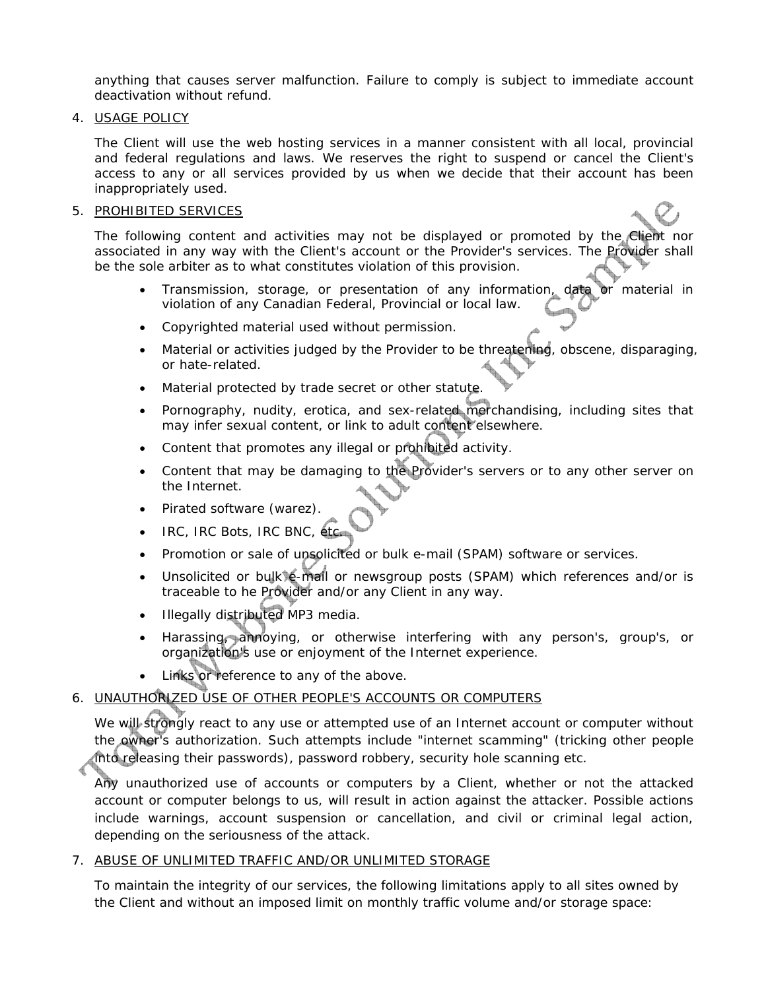anything that causes server malfunction. Failure to comply is subject to immediate account deactivation without refund.

#### 4. USAGE POLICY

The Client will use the web hosting services in a manner consistent with all local, provincial and federal regulations and laws. We reserves the right to suspend or cancel the Client's access to any or all services provided by us when we decide that their account has been inappropriately used.

#### 5. PROHIBITED SERVICES

The following content and activities may not be displayed or promoted by the Client nor associated in any way with the Client's account or the Provider's services. The Provider shall be the sole arbiter as to what constitutes violation of this provision.

- Transmission, storage, or presentation of any information, data or material in violation of any Canadian Federal, Provincial or local law.
- Copyrighted material used without permission.
- Material or activities judged by the Provider to be threatening, obscene, disparaging, or hate-related.
- Material protected by trade secret or other statute.
- Pornography, nudity, erotica, and sex-related merchandising, including sites that may infer sexual content, or link to adult content elsewhere.
- Content that promotes any illegal or prohibited activity.
- Content that may be damaging to the Provider's servers or to any other server on the Internet.
- Pirated software (warez).
- IRC, IRC Bots, IRC BNC, etc.
- Promotion or sale of unsolicited or bulk e-mail (SPAM) software or services.
- Unsolicited or bulk e-mail or newsgroup posts (SPAM) which references and/or is traceable to he Provider and/or any Client in any way.
- Illegally distributed MP3 media.
- Harassing, annoying, or otherwise interfering with any person's, group's, or organization's use or enjoyment of the Internet experience.
- Links or reference to any of the above.

## 6. UNAUTHORIZED USE OF OTHER PEOPLE'S ACCOUNTS OR COMPUTERS

We will strongly react to any use or attempted use of an Internet account or computer without the owner's authorization. Such attempts include "internet scamming" (tricking other people into releasing their passwords), password robbery, security hole scanning etc.

Any unauthorized use of accounts or computers by a Client, whether or not the attacked account or computer belongs to us, will result in action against the attacker. Possible actions include warnings, account suspension or cancellation, and civil or criminal legal action, depending on the seriousness of the attack.

### 7. ABUSE OF UNLIMITED TRAFFIC AND/OR UNLIMITED STORAGE

To maintain the integrity of our services, the following limitations apply to all sites owned by the Client and without an imposed limit on monthly traffic volume and/or storage space: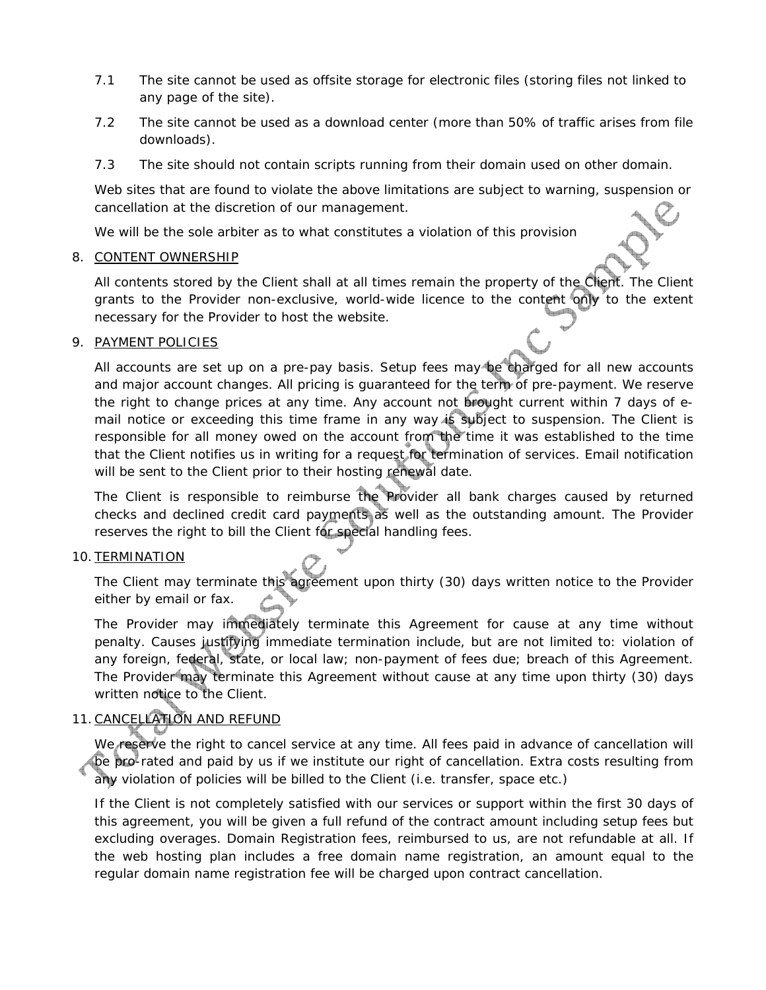- 7.1 The site cannot be used as offsite storage for electronic files (storing files not linked to any page of the site).
- 7.2 The site cannot be used as a download center (more than 50% of traffic arises from file downloads).
- 7.3 The site should not contain scripts running from their domain used on other domain.

Web sites that are found to violate the above limitations are subject to warning, suspension or cancellation at the discretion of our management.

We will be the sole arbiter as to what constitutes a violation of this provision

### 8. CONTENT OWNERSHIP

All contents stored by the Client shall at all times remain the property of the Client. The Client grants to the Provider non-exclusive, world-wide licence to the content only to the extent necessary for the Provider to host the website.

### 9. PAYMENT POLICIES

All accounts are set up on a pre-pay basis. Setup fees may be charged for all new accounts and major account changes. All pricing is guaranteed for the term of pre-payment. We reserve the right to change prices at any time. Any account not brought current within 7 days of email notice or exceeding this time frame in any way is subject to suspension. The Client is responsible for all money owed on the account from the time it was established to the time that the Client notifies us in writing for a request for termination of services. Email notification will be sent to the Client prior to their hosting renewal date.

The Client is responsible to reimburse the Provider all bank charges caused by returned checks and declined credit card payments as well as the outstanding amount. The Provider reserves the right to bill the Client for special handling fees.

## 10. TERMINATION

The Client may terminate this agreement upon thirty (30) days written notice to the Provider either by email or fax.

The Provider may immediately terminate this Agreement for cause at any time without penalty. Causes justifying immediate termination include, but are not limited to: violation of any foreign, federal, state, or local law; non-payment of fees due; breach of this Agreement. The Provider may terminate this Agreement without cause at any time upon thirty (30) days written notice to the Client.

# 11. CANCELLATION AND REFUND

We reserve the right to cancel service at any time. All fees paid in advance of cancellation will be pro-rated and paid by us if we institute our right of cancellation. Extra costs resulting from any violation of policies will be billed to the Client (i.e. transfer, space etc.)

If the Client is not completely satisfied with our services or support within the first 30 days of this agreement, you will be given a full refund of the contract amount including setup fees but excluding overages. Domain Registration fees, reimbursed to us, are not refundable at all. If the web hosting plan includes a free domain name registration, an amount equal to the regular domain name registration fee will be charged upon contract cancellation.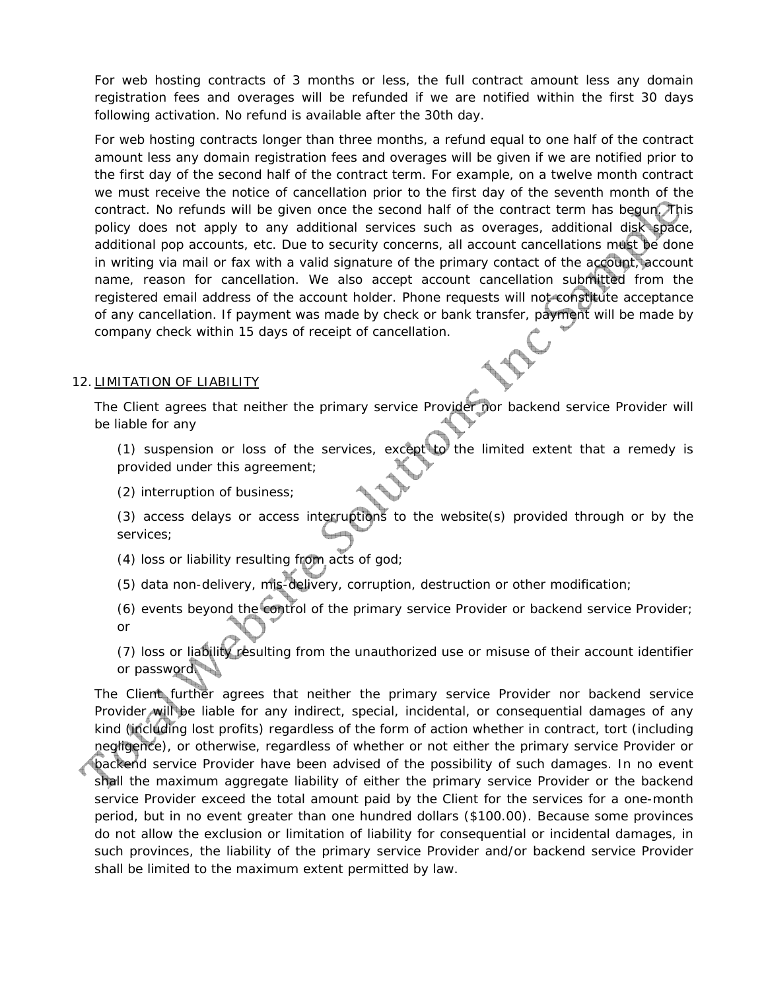For web hosting contracts of 3 months or less, the full contract amount less any domain registration fees and overages will be refunded if we are notified within the first 30 days following activation. No refund is available after the 30th day.

For web hosting contracts longer than three months, a refund equal to one half of the contract amount less any domain registration fees and overages will be given if we are notified prior to the first day of the second half of the contract term. For example, on a twelve month contract we must receive the notice of cancellation prior to the first day of the seventh month of the contract. No refunds will be given once the second half of the contract term has begun. This policy does not apply to any additional services such as overages, additional disk space, additional pop accounts, etc. Due to security concerns, all account cancellations must be done in writing via mail or fax with a valid signature of the primary contact of the account, account name, reason for cancellation. We also accept account cancellation submitted from the registered email address of the account holder. Phone requests will not constitute acceptance of any cancellation. If payment was made by check or bank transfer, payment will be made by company check within 15 days of receipt of cancellation.

## 12. LIMITATION OF LIABILITY

The Client agrees that neither the primary service Provider nor backend service Provider will be liable for any

(1) suspension or loss of the services, except to the limited extent that a remedy is provided under this agreement;

(2) interruption of business;

(3) access delays or access interruptions to the website(s) provided through or by the services;

(4) loss or liability resulting from acts of god;

(5) data non-delivery, mis-delivery, corruption, destruction or other modification;

(6) events beyond the control of the primary service Provider or backend service Provider; or

(7) loss or liability resulting from the unauthorized use or misuse of their account identifier or password.

The Client further agrees that neither the primary service Provider nor backend service Provider will be liable for any indirect, special, incidental, or consequential damages of any kind (including lost profits) regardless of the form of action whether in contract, tort (including negligence), or otherwise, regardless of whether or not either the primary service Provider or backend service Provider have been advised of the possibility of such damages. In no event shall the maximum aggregate liability of either the primary service Provider or the backend service Provider exceed the total amount paid by the Client for the services for a one-month period, but in no event greater than one hundred dollars (\$100.00). Because some provinces do not allow the exclusion or limitation of liability for consequential or incidental damages, in such provinces, the liability of the primary service Provider and/or backend service Provider shall be limited to the maximum extent permitted by law.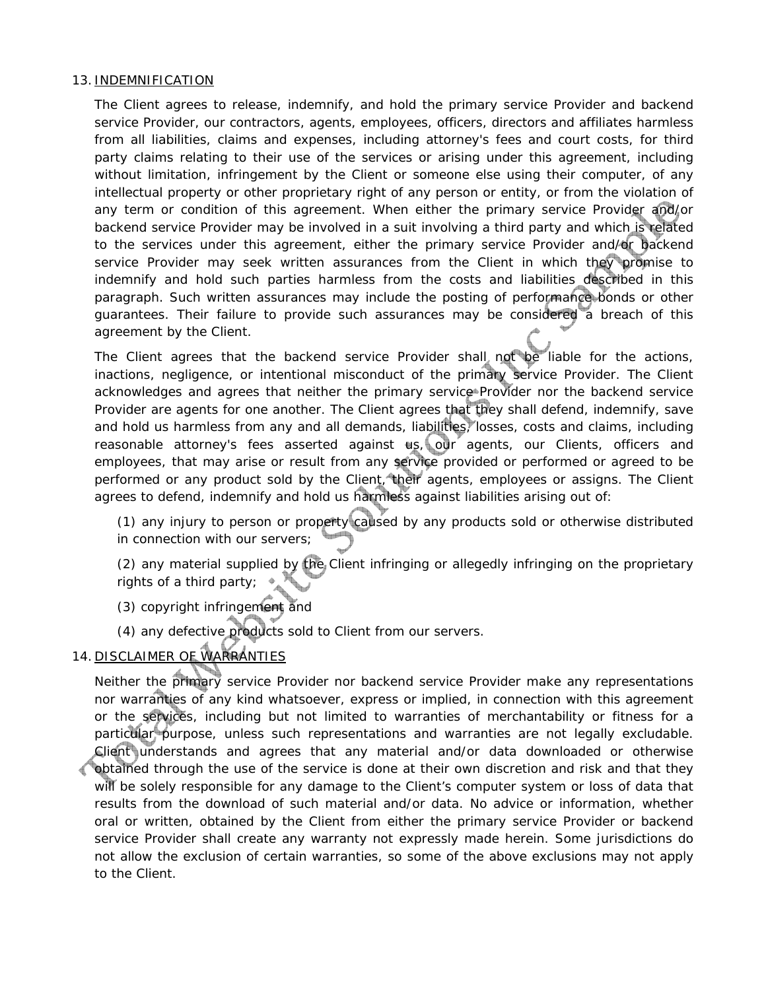#### 13. INDEMNIFICATION

The Client agrees to release, indemnify, and hold the primary service Provider and backend service Provider, our contractors, agents, employees, officers, directors and affiliates harmless from all liabilities, claims and expenses, including attorney's fees and court costs, for third party claims relating to their use of the services or arising under this agreement, including without limitation, infringement by the Client or someone else using their computer, of any intellectual property or other proprietary right of any person or entity, or from the violation of any term or condition of this agreement. When either the primary service Provider and/or backend service Provider may be involved in a suit involving a third party and which is related to the services under this agreement, either the primary service Provider and/or backend service Provider may seek written assurances from the Client in which they promise to indemnify and hold such parties harmless from the costs and liabilities described in this paragraph. Such written assurances may include the posting of performance bonds or other guarantees. Their failure to provide such assurances may be considered a breach of this agreement by the Client.

The Client agrees that the backend service Provider shall not be liable for the actions, inactions, negligence, or intentional misconduct of the primary service Provider. The Client acknowledges and agrees that neither the primary service Provider nor the backend service Provider are agents for one another. The Client agrees that they shall defend, indemnify, save and hold us harmless from any and all demands, liabilities, losses, costs and claims, including reasonable attorney's fees asserted against us, our agents, our Clients, officers and employees, that may arise or result from any service provided or performed or agreed to be performed or any product sold by the Client, their agents, employees or assigns. The Client agrees to defend, indemnify and hold us harmless against liabilities arising out of:

(1) any injury to person or property caused by any products sold or otherwise distributed in connection with our servers;

(2) any material supplied by the Client infringing or allegedly infringing on the proprietary rights of a third party;

- (3) copyright infringement and
- (4) any defective products sold to Client from our servers.

## 14. DISCLAIMER OF WARRANTIES

Neither the primary service Provider nor backend service Provider make any representations nor warranties of any kind whatsoever, express or implied, in connection with this agreement or the services, including but not limited to warranties of merchantability or fitness for a particular purpose, unless such representations and warranties are not legally excludable. Client understands and agrees that any material and/or data downloaded or otherwise obtained through the use of the service is done at their own discretion and risk and that they will be solely responsible for any damage to the Client's computer system or loss of data that results from the download of such material and/or data. No advice or information, whether oral or written, obtained by the Client from either the primary service Provider or backend service Provider shall create any warranty not expressly made herein. Some jurisdictions do not allow the exclusion of certain warranties, so some of the above exclusions may not apply to the Client.